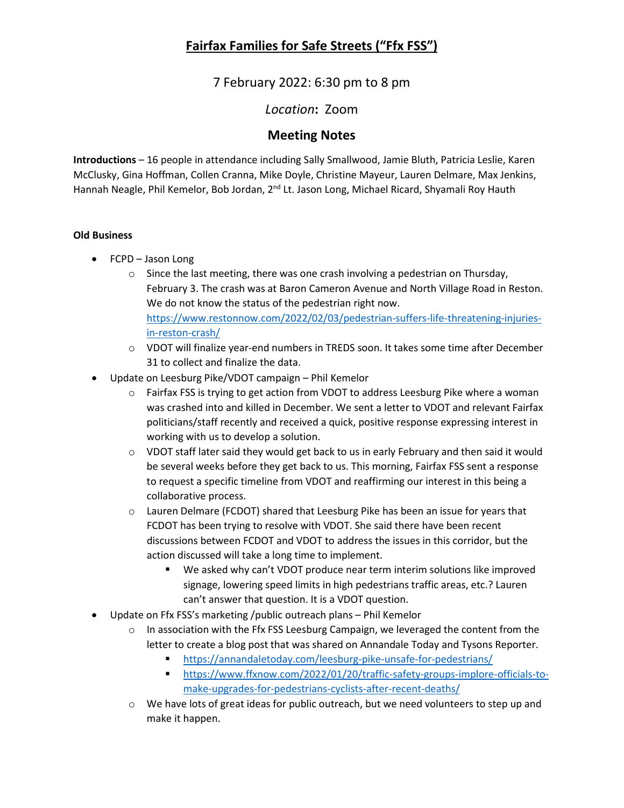7 February 2022: 6:30 pm to 8 pm

*Location***:** Zoom

#### **Meeting Notes**

**Introductions** – 16 people in attendance including Sally Smallwood, Jamie Bluth, Patricia Leslie, Karen McClusky, Gina Hoffman, Collen Cranna, Mike Doyle, Christine Mayeur, Lauren Delmare, Max Jenkins, Hannah Neagle, Phil Kemelor, Bob Jordan, 2<sup>nd</sup> Lt. Jason Long, Michael Ricard, Shyamali Roy Hauth

#### **Old Business**

- FCPD Jason Long
	- $\circ$  Since the last meeting, there was one crash involving a pedestrian on Thursday, February 3. The crash was at Baron Cameron Avenue and North Village Road in Reston. We do not know the status of the pedestrian right now. [https://www.restonnow.com/2022/02/03/pedestrian-suffers-life-threatening-injuries](https://www.restonnow.com/2022/02/03/pedestrian-suffers-life-threatening-injuries-in-reston-crash/)[in-reston-crash/](https://www.restonnow.com/2022/02/03/pedestrian-suffers-life-threatening-injuries-in-reston-crash/)
	- o VDOT will finalize year-end numbers in TREDS soon. It takes some time after December 31 to collect and finalize the data.
- Update on Leesburg Pike/VDOT campaign Phil Kemelor
	- o Fairfax FSS is trying to get action from VDOT to address Leesburg Pike where a woman was crashed into and killed in December. We sent a letter to VDOT and relevant Fairfax politicians/staff recently and received a quick, positive response expressing interest in working with us to develop a solution.
	- $\circ$  VDOT staff later said they would get back to us in early February and then said it would be several weeks before they get back to us. This morning, Fairfax FSS sent a response to request a specific timeline from VDOT and reaffirming our interest in this being a collaborative process.
	- $\circ$  Lauren Delmare (FCDOT) shared that Leesburg Pike has been an issue for years that FCDOT has been trying to resolve with VDOT. She said there have been recent discussions between FCDOT and VDOT to address the issues in this corridor, but the action discussed will take a long time to implement.
		- We asked why can't VDOT produce near term interim solutions like improved signage, lowering speed limits in high pedestrians traffic areas, etc.? Lauren can't answer that question. It is a VDOT question.
- Update on Ffx FSS's marketing /public outreach plans Phil Kemelor
	- $\circ$  In association with the Ffx FSS Leesburg Campaign, we leveraged the content from the letter to create a blog post that was shared on Annandale Today and Tysons Reporter.
		- <https://annandaletoday.com/leesburg-pike-unsafe-for-pedestrians/>
		- [https://www.ffxnow.com/2022/01/20/traffic-safety-groups-implore-officials-to](https://www.ffxnow.com/2022/01/20/traffic-safety-groups-implore-officials-to-make-upgrades-for-pedestrians-cyclists-after-recent-deaths/)[make-upgrades-for-pedestrians-cyclists-after-recent-deaths/](https://www.ffxnow.com/2022/01/20/traffic-safety-groups-implore-officials-to-make-upgrades-for-pedestrians-cyclists-after-recent-deaths/)
	- $\circ$  We have lots of great ideas for public outreach, but we need volunteers to step up and make it happen.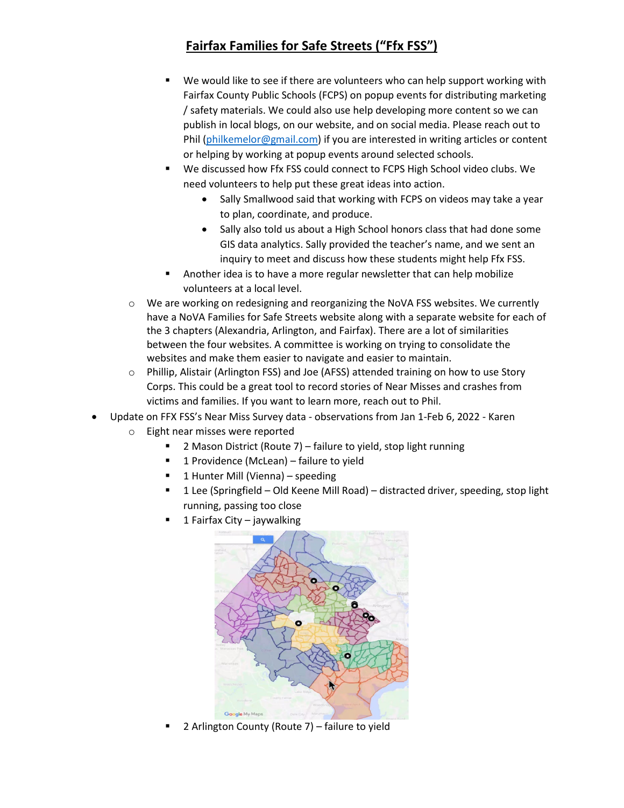- We would like to see if there are volunteers who can help support working with Fairfax County Public Schools (FCPS) on popup events for distributing marketing / safety materials. We could also use help developing more content so we can publish in local blogs, on our website, and on social media. Please reach out to Phil [\(philkemelor@gmail.com\)](mailto:philkemelor@gmail.com) if you are interested in writing articles or content or helping by working at popup events around selected schools.
- We discussed how Ffx FSS could connect to FCPS High School video clubs. We need volunteers to help put these great ideas into action.
	- Sally Smallwood said that working with FCPS on videos may take a year to plan, coordinate, and produce.
	- Sally also told us about a High School honors class that had done some GIS data analytics. Sally provided the teacher's name, and we sent an inquiry to meet and discuss how these students might help Ffx FSS.
- Another idea is to have a more regular newsletter that can help mobilize volunteers at a local level.
- $\circ$  We are working on redesigning and reorganizing the NoVA FSS websites. We currently have a NoVA Families for Safe Streets website along with a separate website for each of the 3 chapters (Alexandria, Arlington, and Fairfax). There are a lot of similarities between the four websites. A committee is working on trying to consolidate the websites and make them easier to navigate and easier to maintain.
- o Phillip, Alistair (Arlington FSS) and Joe (AFSS) attended training on how to use Story Corps. This could be a great tool to record stories of Near Misses and crashes from victims and families. If you want to learn more, reach out to Phil.
- Update on FFX FSS's Near Miss Survey data observations from Jan 1-Feb 6, 2022 Karen
	- o Eight near misses were reported
		- 2 Mason District (Route 7) failure to yield, stop light running
		- **1** Providence (McLean) failure to yield
		- $\blacksquare$  1 Hunter Mill (Vienna) speeding
		- 1 Lee (Springfield Old Keene Mill Road) distracted driver, speeding, stop light running, passing too close
		- 1 Fairfax City jaywalking



2 Arlington County (Route 7) – failure to yield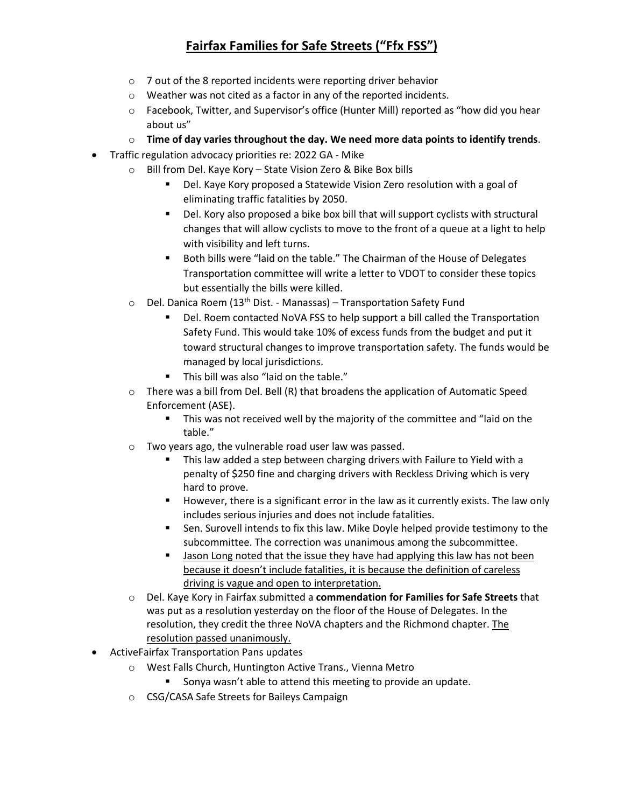- o 7 out of the 8 reported incidents were reporting driver behavior
- o Weather was not cited as a factor in any of the reported incidents.
- o Facebook, Twitter, and Supervisor's office (Hunter Mill) reported as "how did you hear about us"
- o **Time of day varies throughout the day. We need more data points to identify trends**.
- Traffic regulation advocacy priorities re: 2022 GA Mike
	- o Bill from Del. Kaye Kory State Vision Zero & Bike Box bills
		- Del. Kaye Kory proposed a Statewide Vision Zero resolution with a goal of eliminating traffic fatalities by 2050.
		- Del. Kory also proposed a bike box bill that will support cyclists with structural changes that will allow cyclists to move to the front of a queue at a light to help with visibility and left turns.
		- Both bills were "laid on the table." The Chairman of the House of Delegates Transportation committee will write a letter to VDOT to consider these topics but essentially the bills were killed.
	- $\circ$  Del. Danica Roem (13<sup>th</sup> Dist. Manassas) Transportation Safety Fund
		- Del. Roem contacted NoVA FSS to help support a bill called the Transportation Safety Fund. This would take 10% of excess funds from the budget and put it toward structural changes to improve transportation safety. The funds would be managed by local jurisdictions.
		- This bill was also "laid on the table."
	- $\circ$  There was a bill from Del. Bell (R) that broadens the application of Automatic Speed Enforcement (ASE).
		- **This was not received well by the majority of the committee and "laid on the** table."
	- o Two years ago, the vulnerable road user law was passed.
		- This law added a step between charging drivers with Failure to Yield with a penalty of \$250 fine and charging drivers with Reckless Driving which is very hard to prove.
		- However, there is a significant error in the law as it currently exists. The law only includes serious injuries and does not include fatalities.
		- Sen. Surovell intends to fix this law. Mike Doyle helped provide testimony to the subcommittee. The correction was unanimous among the subcommittee.
		- **Jason Long noted that the issue they have had applying this law has not been** because it doesn't include fatalities, it is because the definition of careless driving is vague and open to interpretation.
	- o Del. Kaye Kory in Fairfax submitted a **commendation for Families for Safe Streets** that was put as a resolution yesterday on the floor of the House of Delegates. In the resolution, they credit the three NoVA chapters and the Richmond chapter. The resolution passed unanimously.
- ActiveFairfax Transportation Pans updates
	- o West Falls Church, Huntington Active Trans., Vienna Metro
		- **Sonya wasn't able to attend this meeting to provide an update.**
	- o CSG/CASA Safe Streets for Baileys Campaign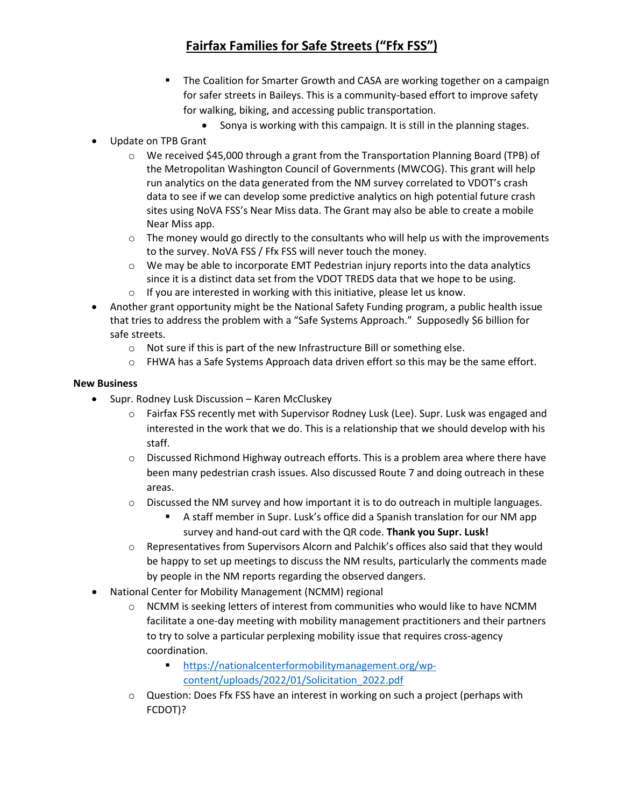- The Coalition for Smarter Growth and CASA are working together on a campaign for safer streets in Baileys. This is a community-based effort to improve safety for walking, biking, and accessing public transportation.
	- Sonya is working with this campaign. It is still in the planning stages.
- Update on TPB Grant
	- $\circ$  We received \$45,000 through a grant from the Transportation Planning Board (TPB) of the Metropolitan Washington Council of Governments (MWCOG). This grant will help run analytics on the data generated from the NM survey correlated to VDOT's crash data to see if we can develop some predictive analytics on high potential future crash sites using NoVA FSS's Near Miss data. The Grant may also be able to create a mobile Near Miss app.
	- o The money would go directly to the consultants who will help us with the improvements to the survey. NoVA FSS / Ffx FSS will never touch the money.
	- $\circ$  We may be able to incorporate EMT Pedestrian injury reports into the data analytics since it is a distinct data set from the VDOT TREDS data that we hope to be using.
	- o If you are interested in working with this initiative, please let us know.
- Another grant opportunity might be the National Safety Funding program, a public health issue that tries to address the problem with a "Safe Systems Approach." Supposedly \$6 billion for safe streets.
	- o Not sure if this is part of the new Infrastructure Bill or something else.
	- $\circ$  FHWA has a Safe Systems Approach data driven effort so this may be the same effort.

#### **New Business**

- Supr. Rodney Lusk Discussion Karen McCluskey
	- o Fairfax FSS recently met with Supervisor Rodney Lusk (Lee). Supr. Lusk was engaged and interested in the work that we do. This is a relationship that we should develop with his staff.
	- $\circ$  Discussed Richmond Highway outreach efforts. This is a problem area where there have been many pedestrian crash issues. Also discussed Route 7 and doing outreach in these areas.
	- $\circ$  Discussed the NM survey and how important it is to do outreach in multiple languages.
		- A staff member in Supr. Lusk's office did a Spanish translation for our NM app survey and hand-out card with the QR code. **Thank you Supr. Lusk!**
	- o Representatives from Supervisors Alcorn and Palchik's offices also said that they would be happy to set up meetings to discuss the NM results, particularly the comments made by people in the NM reports regarding the observed dangers.
- National Center for Mobility Management (NCMM) regional
	- $\circ$  NCMM is seeking letters of interest from communities who would like to have NCMM facilitate a one-day meeting with mobility management practitioners and their partners to try to solve a particular perplexing mobility issue that requires cross-agency coordination.
		- [https://nationalcenterformobilitymanagement.org/wp](https://nationalcenterformobilitymanagement.org/wp-content/uploads/2022/01/Solicitation_2022.pdf)[content/uploads/2022/01/Solicitation\\_2022.pdf](https://nationalcenterformobilitymanagement.org/wp-content/uploads/2022/01/Solicitation_2022.pdf)
	- $\circ$  Question: Does Ffx FSS have an interest in working on such a project (perhaps with FCDOT)?